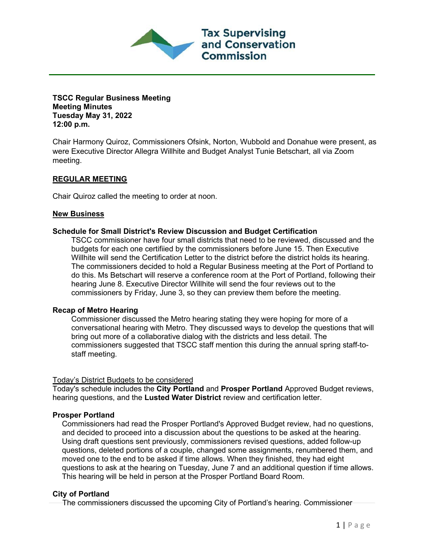

### **TSCC Regular Business Meeting Meeting Minutes Tuesday May 31, 2022 12:00 p.m.**

Chair Harmony Quiroz, Commissioners Ofsink, Norton, Wubbold and Donahue were present, as were Executive Director Allegra Willhite and Budget Analyst Tunie Betschart, all via Zoom meeting.

# **REGULAR MEETING**

Chair Quiroz called the meeting to order at noon.

## **New Business**

### **Schedule for Small District's Review Discussion and Budget Certification**

TSCC commissioner have four small districts that need to be reviewed, discussed and the budgets for each one certifiied by the commissioners before June 15. Then Executive Willhite will send the Certification Letter to the district before the district holds its hearing. The commissioners decided to hold a Regular Business meeting at the Port of Portland to do this. Ms Betschart will reserve a conference room at the Port of Portland, following their hearing June 8. Executive Director Willhite will send the four reviews out to the commissioners by Friday, June 3, so they can preview them before the meeting.

#### **Recap of Metro Hearing**

Commissioner discussed the Metro hearing stating they were hoping for more of a conversational hearing with Metro. They discussed ways to develop the questions that will bring out more of a collaborative dialog with the districts and less detail. The commissioners suggested that TSCC staff mention this during the annual spring staff-tostaff meeting.

## Today's District Budgets to be considered

Today's schedule includes the **City Portland** and **Prosper Portland** Approved Budget reviews, hearing questions, and the **Lusted Water District** review and certification letter.

## **Prosper Portland**

Commissioners had read the Prosper Portland's Approved Budget review, had no questions, and decided to proceed into a discussion about the questions to be asked at the hearing. Using draft questions sent previously, commissioners revised questions, added follow-up questions, deleted portions of a couple, changed some assignments, renumbered them, and moved one to the end to be asked if time allows. When they finished, they had eight questions to ask at the hearing on Tuesday, June 7 and an additional question if time allows. This hearing will be held in person at the Prosper Portland Board Room.

## **City of Portland**

The commissioners discussed the upcoming City of Portland's hearing. Commissioner